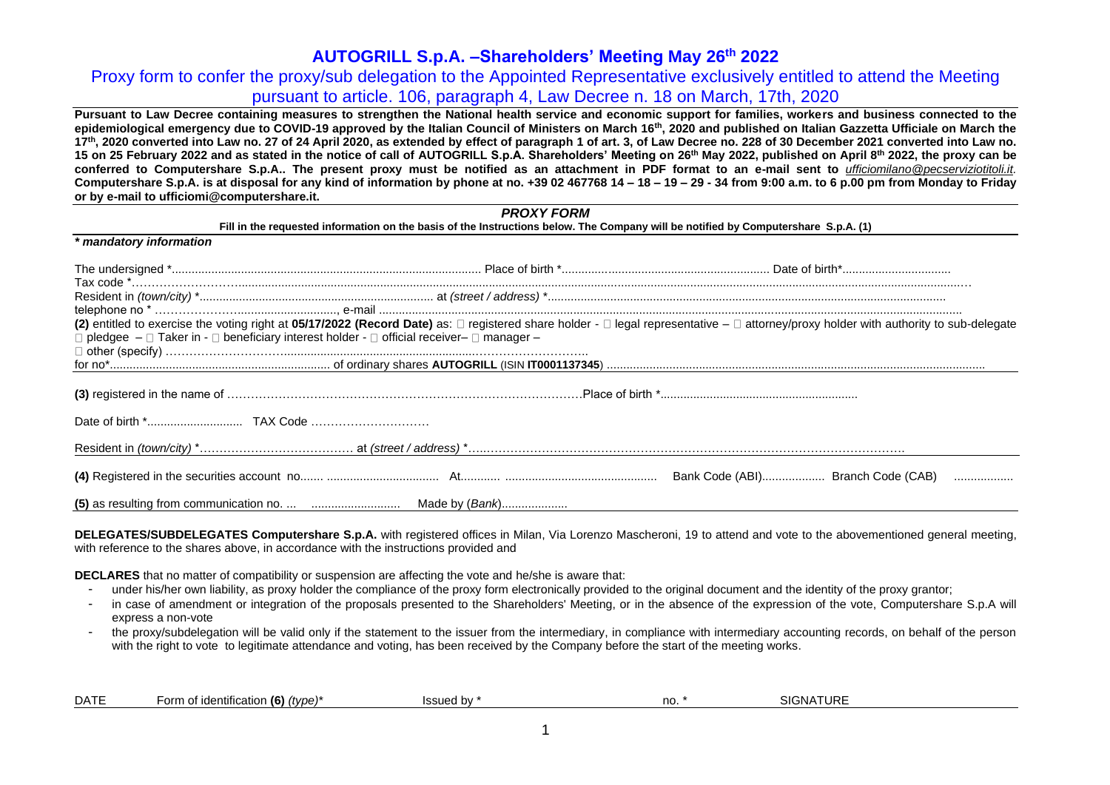Proxy form to confer the proxy/sub delegation to the Appointed Representative exclusively entitled to attend the Meeting pursuant to article. 106, paragraph 4, Law Decree n. 18 on March, 17th, 2020

**Pursuant to Law Decree containing measures to strengthen the National health service and economic support for families, workers and business connected to the epidemiological emergency due to COVID-19 approved by the Italian Council of Ministers on March 16th, 2020 and published on Italian Gazzetta Ufficiale on March the**  17th, 2020 converted into Law no. 27 of 24 April 2020, as extended by effect of paragraph 1 of art. 3, of Law Decree no. 228 of 30 December 2021 converted into Law no. 15 on 25 February 2022 and as stated in the notice of call of AUTOGRILL S.p.A. Shareholders' Meeting on 26<sup>th</sup> May 2022, published on April 8<sup>th</sup> 2022, the proxy can be **conferred to Computershare S.p.A.. The present proxy must be notified as an attachment in PDF format to an e-mail sent to** *[ufficiomilano@pecserviziotitoli.it.](mailto:ufficiomilano@pecserviziotitoli.it)* Computershare S.p.A. is at disposal for any kind of information by phone at no. +39 02 467768 14 – 18 – 19 – 29 - 34 from 9:00 a.m. to 6 p.00 pm from Monday to Friday **or by e-mail to ufficiomi@computershare.it.**

|                                                                                                                  | <b>PROXY FORM</b>                                                                                                                  |  |
|------------------------------------------------------------------------------------------------------------------|------------------------------------------------------------------------------------------------------------------------------------|--|
| * mandatory information                                                                                          | Fill in the requested information on the basis of the Instructions below. The Company will be notified by Computershare S.p.A. (1) |  |
|                                                                                                                  |                                                                                                                                    |  |
|                                                                                                                  |                                                                                                                                    |  |
| $\Box$ pledgee $-\Box$ Taker in - $\Box$ beneficiary interest holder - $\Box$ official receiver- $\Box$ manager- |                                                                                                                                    |  |
|                                                                                                                  |                                                                                                                                    |  |
|                                                                                                                  |                                                                                                                                    |  |
|                                                                                                                  |                                                                                                                                    |  |
|                                                                                                                  |                                                                                                                                    |  |
|                                                                                                                  |                                                                                                                                    |  |
|                                                                                                                  |                                                                                                                                    |  |

**DELEGATES/SUBDELEGATES Computershare S.p.A.** with registered offices in Milan, Via Lorenzo Mascheroni, 19 to attend and vote to the abovementioned general meeting, with reference to the shares above, in accordance with the instructions provided and

**DECLARES** that no matter of compatibility or suspension are affecting the vote and he/she is aware that:

- under his/her own liability, as proxy holder the compliance of the proxy form electronically provided to the original document and the identity of the proxy grantor;
- in case of amendment or integration of the proposals presented to the Shareholders' Meeting, or in the absence of the expression of the vote, Computershare S.p.A will express a non-vote
- the proxy/subdelegation will be valid only if the statement to the issuer from the intermediary, in compliance with intermediary accounting records, on behalf of the person with the right to vote to legitimate attendance and voting, has been received by the Company before the start of the meeting works.

| <b>DATE</b> | Form of identification (6) (type)* | Issued bv | no. | TURE<br>SIGNA |  |
|-------------|------------------------------------|-----------|-----|---------------|--|
|-------------|------------------------------------|-----------|-----|---------------|--|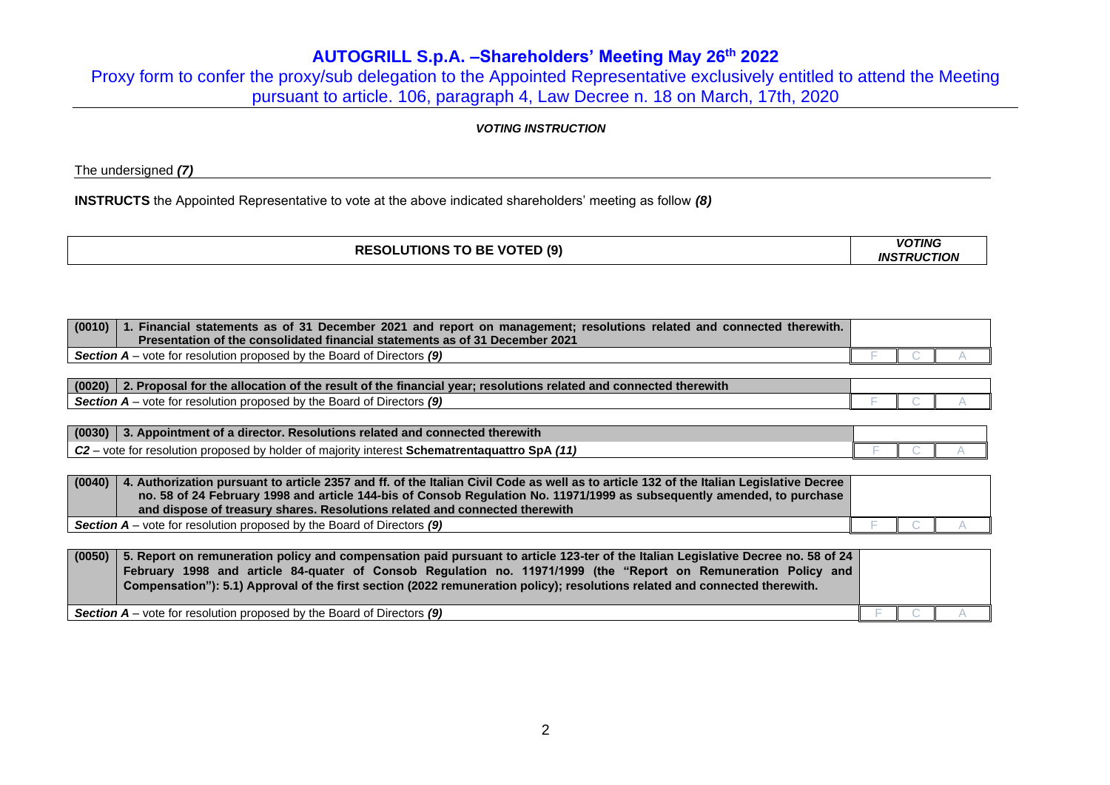Proxy form to confer the proxy/sub delegation to the Appointed Representative exclusively entitled to attend the Meeting pursuant to article. 106, paragraph 4, Law Decree n. 18 on March, 17th, 2020

## *VOTING INSTRUCTION*

The undersigned *(7)*

**INSTRUCTS** the Appointed Representative to vote at the above indicated shareholders' meeting as follow *(8)*

|                                    | <b>VOTING</b>      |
|------------------------------------|--------------------|
| <b>RESOLUTIONS TO BE VOTED (9)</b> | <b>INSTRUCTION</b> |
|                                    |                    |

| (0010) 1. Financial statements as of 31 December 2021 and report on management; resolutions related and connected therewith. |  |  |
|------------------------------------------------------------------------------------------------------------------------------|--|--|
| Presentation of the consolidated financial statements as of 31 December 2021                                                 |  |  |
| Section A – vote for resolution proposed by the Board of Directors (9)                                                       |  |  |

| (0020)<br>connected therewith<br>e allocation of the result of the <b>f</b><br>** resolutions<br>⊿ financial vear⊤<br><b>related and</b><br>. Proposal for the 1 |  |  |
|------------------------------------------------------------------------------------------------------------------------------------------------------------------|--|--|
| Directors $(9)$<br><b>Section A</b><br>vote<br>I by the<br>Board<br>$\sim$<br>tor resolution :<br>nroposed -                                                     |  |  |

| (0030) | $\,$ 3. Appointment of a director. Resolutions related and connected therewith $\,$            |  |  |
|--------|------------------------------------------------------------------------------------------------|--|--|
| $C2 -$ | - vote for resolution proposed by holder of majority interest <b>Schematrentaquattro SpA</b> / |  |  |

| (0040) | 4. Authorization pursuant to article 2357 and ff. of the Italian Civil Code as well as to article 132 of the Italian Legislative Decree<br>no. 58 of 24 February 1998 and article 144-bis of Consob Regulation No. 11971/1999 as subsequently amended, to purchase<br>and dispose of treasury shares. Resolutions related and connected therewith |  |  |
|--------|---------------------------------------------------------------------------------------------------------------------------------------------------------------------------------------------------------------------------------------------------------------------------------------------------------------------------------------------------|--|--|
|        | <b>Section A</b> – vote for resolution proposed by the Board of Directors $(9)$                                                                                                                                                                                                                                                                   |  |  |

| (0050) | 5. Report on remuneration policy and compensation paid pursuant to article 123-ter of the Italian Legislative Decree no. 58 of 24<br>February 1998 and article 84-quater of Consob Regulation no. 11971/1999 (the "Report on Remuneration Policy and<br>Compensation"): 5.1) Approval of the first section (2022 remuneration policy); resolutions related and connected therewith. |  |  |
|--------|-------------------------------------------------------------------------------------------------------------------------------------------------------------------------------------------------------------------------------------------------------------------------------------------------------------------------------------------------------------------------------------|--|--|
|        | <b>Section A</b> – vote for resolution proposed by the Board of Directors $(9)$                                                                                                                                                                                                                                                                                                     |  |  |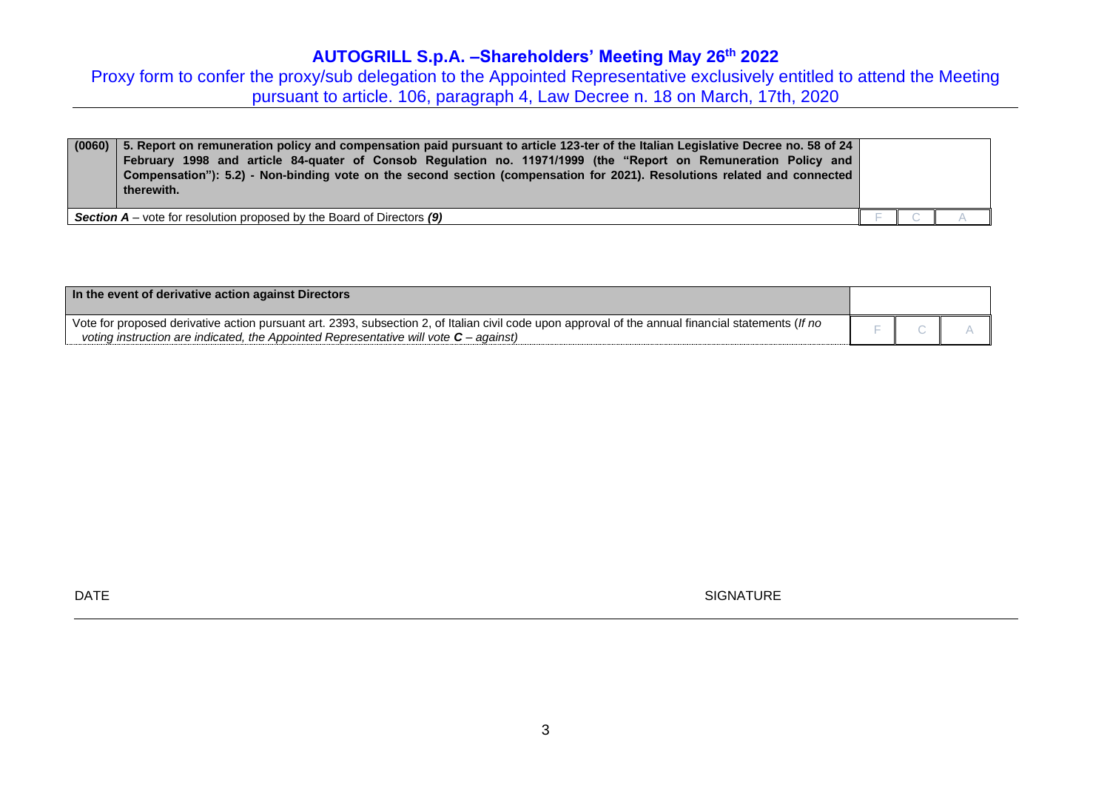Proxy form to confer the proxy/sub delegation to the Appointed Representative exclusively entitled to attend the Meeting pursuant to article. 106, paragraph 4, Law Decree n. 18 on March, 17th, 2020

| (0060) | 5. S. Report on remuneration policy and compensation paid pursuant to article 123-ter of the Italian Legislative Decree no. 58 of 24<br>February 1998 and article 84-quater of Consob Regulation no. 11971/1999 (the "Report on Remuneration Policy and<br>Compensation"): 5.2) - Non-binding vote on the second section (compensation for 2021). Resolutions related and connected<br>therewith. |  |  |
|--------|---------------------------------------------------------------------------------------------------------------------------------------------------------------------------------------------------------------------------------------------------------------------------------------------------------------------------------------------------------------------------------------------------|--|--|
|        | <b>Section A</b> – vote for resolution proposed by the Board of Directors (9)                                                                                                                                                                                                                                                                                                                     |  |  |

| In the event of derivative action against Directors                                                                                                                                                                                            |  |  |
|------------------------------------------------------------------------------------------------------------------------------------------------------------------------------------------------------------------------------------------------|--|--|
| Vote for proposed derivative action pursuant art. 2393, subsection 2, of Italian civil code upon approval of the annual financial statements (If no<br>voting instruction are indicated, the Appointed Representative will vote $C$ – against) |  |  |

DATE SIGNATURE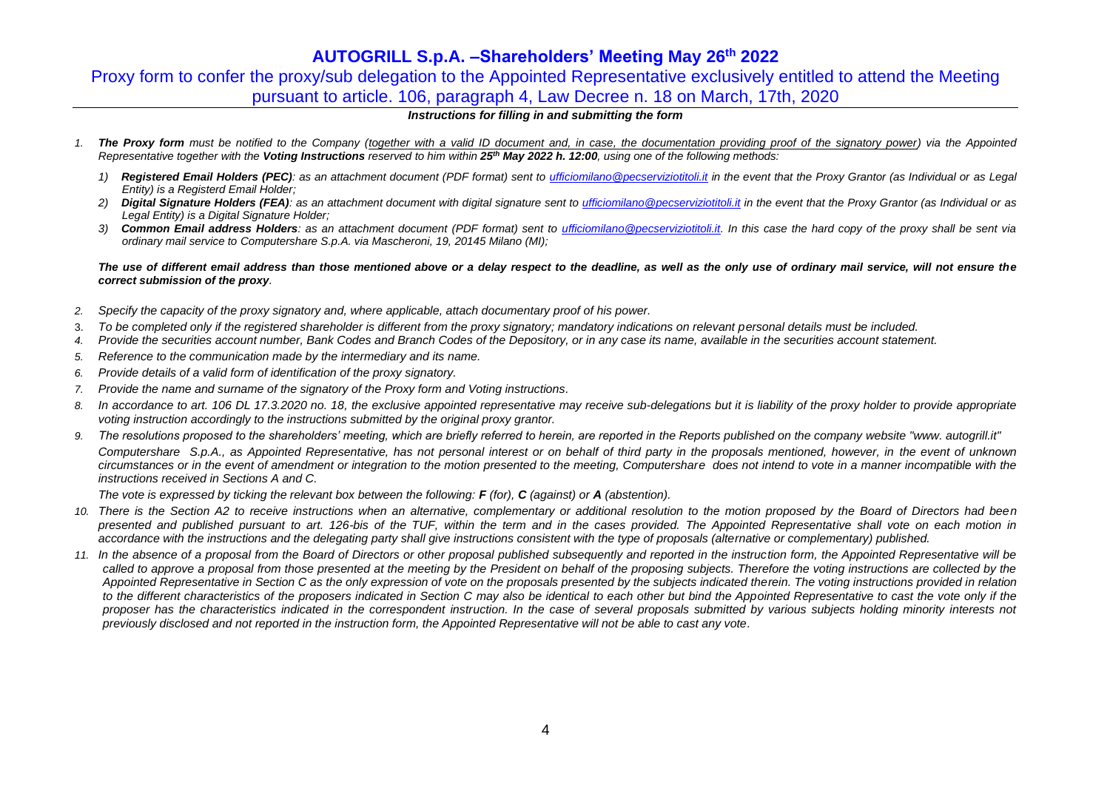# Proxy form to confer the proxy/sub delegation to the Appointed Representative exclusively entitled to attend the Meeting pursuant to article. 106, paragraph 4, Law Decree n. 18 on March, 17th, 2020

### *Instructions for filling in and submitting the form*

- *1. The Proxy form must be notified to the Company (together with a valid ID document and, in case, the documentation providing proof of the signatory power) via the Appointed Representative together with the Voting Instructions reserved to him within 25 th May 2022 h. 12:00, using one of the following methods:*
	- *1) Registered Email Holders (PEC): as an attachment document (PDF format) sent to [ufficiomilano@pecserviziotitoli.it](mailto:ufficiomilano@pecserviziotitoli.it) in the event that the Proxy Grantor (as Individual or as Legal Entity) is a Registerd Email Holder;*
	- 2) **Digital Signature Holders (FEA)**: as an attachment document with digital signature sent t[o ufficiomilano@pecserviziotitoli.it](mailto:ufficiomilano@pecserviziotitoli.it) in the event that the Proxy Grantor (as Individual or as *Legal Entity) is a Digital Signature Holder;*
	- *3) Common Email address Holders: as an attachment document (PDF format) sent to [ufficiomilano@pecserviziotitoli.it.](mailto:ufficiomilano@pecserviziotitoli.it) In this case the hard copy of the proxy shall be sent via ordinary mail service to Computershare S.p.A. via Mascheroni, 19, 20145 Milano (MI);*

### *The use of different email address than those mentioned above or a delay respect to the deadline, as well as the only use of ordinary mail service, will not ensure the correct submission of the proxy.*

- *2. Specify the capacity of the proxy signatory and, where applicable, attach documentary proof of his power.*
- 3. *To be completed only if the registered shareholder is different from the proxy signatory; mandatory indications on relevant personal details must be included.*
- *4. Provide the securities account number, Bank Codes and Branch Codes of the Depository, or in any case its name, available in the securities account statement.*
- *5. Reference to the communication made by the intermediary and its name.*
- *6. Provide details of a valid form of identification of the proxy signatory.*
- *7. Provide the name and surname of the signatory of the Proxy form and Voting instructions.*
- 8 In accordance to art, 106 DL 17.3.2020 no. 18, the exclusive appointed representative may receive sub-delegations but it is liability of the proxy holder to provide appropriate *voting instruction accordingly to the instructions submitted by the original proxy grantor.*
- 9. The resolutions proposed to the shareholders' meeting, which are briefly referred to herein, are reported in the Reports published on the company website "www. autogrill.it" *Computershare S.p.A., as Appointed Representative, has not personal interest or on behalf of third party in the proposals mentioned, however, in the event of unknown circumstances or in the event of amendment or integration to the motion presented to the meeting, Computershare does not intend to vote in a manner incompatible with the instructions received in Sections A and C.*

*The vote is expressed by ticking the relevant box between the following: F (for), C (against) or A (abstention).*

- *10. There is the Section A2 to receive instructions when an alternative, complementary or additional resolution to the motion proposed by the Board of Directors had been presented and published pursuant to art. 126-bis of the TUF, within the term and in the cases provided. The Appointed Representative shall vote on each motion in accordance with the instructions and the delegating party shall give instructions consistent with the type of proposals (alternative or complementary) published.*
- *11. In the absence of a proposal from the Board of Directors or other proposal published subsequently and reported in the instruction form, the Appointed Representative will be*  called to approve a proposal from those presented at the meeting by the President on behalf of the proposing subjects. Therefore the voting instructions are collected by the *Appointed Representative in Section C as the only expression of vote on the proposals presented by the subjects indicated therein. The voting instructions provided in relation*  to the different characteristics of the proposers indicated in Section C may also be identical to each other but bind the Appointed Representative to cast the vote only if the *proposer has the characteristics indicated in the correspondent instruction. In the case of several proposals submitted by various subjects holding minority interests not previously disclosed and not reported in the instruction form, the Appointed Representative will not be able to cast any vote.*